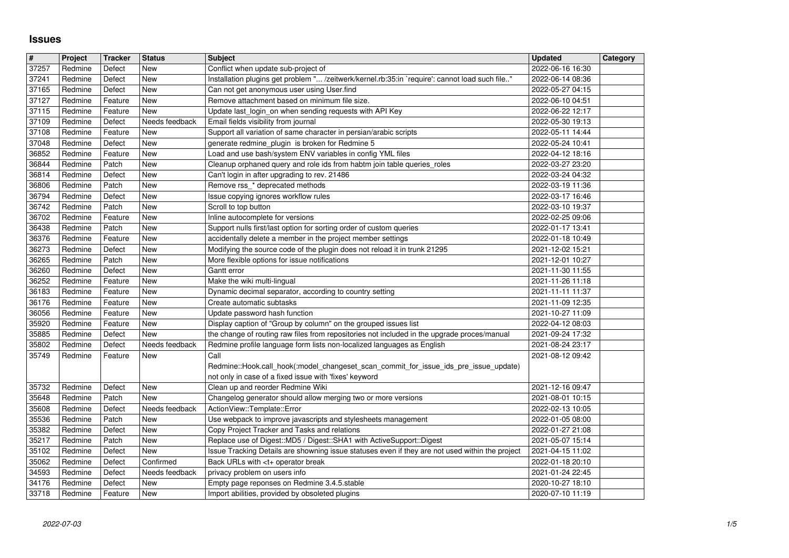## **Issues**

| $\overline{\mathbf{H}}$ | Project            | <b>Tracker</b>     | <b>Status</b>         | <b>Subject</b>                                                                                                                                                             | <b>Updated</b>                       | <b>Category</b> |
|-------------------------|--------------------|--------------------|-----------------------|----------------------------------------------------------------------------------------------------------------------------------------------------------------------------|--------------------------------------|-----------------|
| 37257<br>37241          | Redmine<br>Redmine | Defect<br>Defect   | New<br>New            | Conflict when update sub-project of<br>Installation plugins get problem " /zeitwerk/kernel.rb:35:in `require': cannot load such file"                                      | 2022-06-16 16:30<br>2022-06-14 08:36 |                 |
| 37165                   | Redmine            | Defect             | <b>New</b>            | Can not get anonymous user using User.find                                                                                                                                 | 2022-05-27 04:15                     |                 |
| 37127                   | Redmine            | Feature            | New                   | Remove attachment based on minimum file size.                                                                                                                              | 2022-06-10 04:51                     |                 |
| 37115<br>37109          | Redmine<br>Redmine | Feature<br>Defect  | New<br>Needs feedback | Update last_login_on when sending requests with API Key<br>Email fields visibility from journal                                                                            | 2022-06-22 12:17<br>2022-05-30 19:13 |                 |
| 37108                   | Redmine            | Feature            | New                   | Support all variation of same character in persian/arabic scripts                                                                                                          | 2022-05-11 14:44                     |                 |
| 37048                   | Redmine            | Defect             | New                   | generate redmine_plugin is broken for Redmine 5                                                                                                                            | 2022-05-24 10:41                     |                 |
| 36852<br>36844          | Redmine<br>Redmine | Feature<br>Patch   | New<br>New            | Load and use bash/system ENV variables in config YML files<br>Cleanup orphaned query and role ids from habtm join table queries_roles                                      | 2022-04-12 18:16<br>2022-03-27 23:20 |                 |
| 36814                   | Redmine            | Defect             | New                   | Can't login in after upgrading to rev. 21486                                                                                                                               | 2022-03-24 04:32                     |                 |
| 36806                   | Redmine            | Patch              | New                   | Remove rss_* deprecated methods                                                                                                                                            | 2022-03-19 11:36                     |                 |
| 36794                   | Redmine            | Defect             | New                   | Issue copying ignores workflow rules                                                                                                                                       | 2022-03-17 16:46                     |                 |
| 36742<br>36702          | Redmine<br>Redmine | Patch<br>Feature   | New<br>New            | Scroll to top button<br>Inline autocomplete for versions                                                                                                                   | 2022-03-10 19:37<br>2022-02-25 09:06 |                 |
| 36438                   | Redmine            | Patch              | New                   | Support nulls first/last option for sorting order of custom queries                                                                                                        | 2022-01-17 13:41                     |                 |
| 36376                   | Redmine            | Feature            | New                   | accidentally delete a member in the project member settings                                                                                                                | 2022-01-18 10:49                     |                 |
| 36273<br>36265          | Redmine<br>Redmine | Defect<br>Patch    | New<br>New            | Modifying the source code of the plugin does not reload it in trunk 21295<br>More flexible options for issue notifications                                                 | 2021-12-02 15:21<br>2021-12-01 10:27 |                 |
| 36260                   | Redmine            | Defect             | New                   | Gantt error                                                                                                                                                                | 2021-11-30 11:55                     |                 |
| 36252                   | Redmine            | Feature            | <b>New</b>            | Make the wiki multi-lingual                                                                                                                                                | 2021-11-26 11:18                     |                 |
| 36183<br>36176          | Redmine<br>Redmine | Feature<br>Feature | <b>New</b><br>New     | Dynamic decimal separator, according to country setting<br>Create automatic subtasks                                                                                       | 2021-11-11 11:37<br>2021-11-09 12:35 |                 |
| 36056                   | Redmine            | Feature            | New                   | Update password hash function                                                                                                                                              | 2021-10-27 11:09                     |                 |
| 35920                   | Redmine            | Feature            | New                   | Display caption of "Group by column" on the grouped issues list                                                                                                            | 2022-04-12 08:03                     |                 |
| 35885<br>35802          | Redmine            | Defect             | New                   | the change of routing raw files from repositories not included in the upgrade proces/manual                                                                                | 2021-09-24 17:32                     |                 |
| 35749                   | Redmine<br>Redmine | Defect<br>Feature  | Needs feedback<br>New | Redmine profile language form lists non-localized languages as English<br>Call                                                                                             | 2021-08-24 23:17<br>2021-08-12 09:42 |                 |
|                         |                    |                    |                       | Redmine::Hook.call_hook(:model_changeset_scan_commit_for_issue_ids_pre_issue_update)                                                                                       |                                      |                 |
|                         |                    |                    |                       | not only in case of a fixed issue with 'fixes' keyword                                                                                                                     |                                      |                 |
| 35732<br>35648          | Redmine<br>Redmine | Defect<br>Patch    | New<br>New            | Clean up and reorder Redmine Wiki<br>Changelog generator should allow merging two or more versions                                                                         | 2021-12-16 09:47<br>2021-08-01 10:15 |                 |
| 35608                   | Redmine            | Defect             | Needs feedback        | ActionView::Template::Error                                                                                                                                                | 2022-02-13 10:05                     |                 |
| 35536                   | Redmine            | Patch              | New                   | Use webpack to improve javascripts and stylesheets management                                                                                                              | 2022-01-05 08:00                     |                 |
| 35382                   | Redmine            | Defect             | New                   | Copy Project Tracker and Tasks and relations                                                                                                                               | 2022-01-27 21:08                     |                 |
| 35217<br>35102          | Redmine<br>Redmine | Patch<br>Defect    | New<br>New            | Replace use of Digest:: MD5 / Digest:: SHA1 with ActiveSupport:: Digest<br>Issue Tracking Details are showning issue statuses even if they are not used within the project | 2021-05-07 15:14<br>2021-04-15 11:02 |                 |
| 35062                   | Redmine            | Defect             | Confirmed             | Back URLs with <t+ break<="" operator="" td=""><td>2022-01-18 20:10</td><td></td></t+>                                                                                     | 2022-01-18 20:10                     |                 |
| 34593                   | Redmine            | Defect             | Needs feedback        | privacy problem on users info                                                                                                                                              | 2021-01-24 22:45                     |                 |
| 34176<br>33718          | Redmine<br>Redmine | Defect<br>Feature  | New<br>New            | Empty page reponses on Redmine 3.4.5.stable<br>Import abilities, provided by obsoleted plugins                                                                             | 2020-10-27 18:10<br>2020-07-10 11:19 |                 |
|                         |                    |                    |                       |                                                                                                                                                                            |                                      |                 |
|                         |                    |                    |                       |                                                                                                                                                                            |                                      |                 |
|                         |                    |                    |                       |                                                                                                                                                                            |                                      |                 |
|                         |                    |                    |                       |                                                                                                                                                                            |                                      |                 |
|                         |                    |                    |                       |                                                                                                                                                                            |                                      |                 |
|                         |                    |                    |                       |                                                                                                                                                                            |                                      |                 |
|                         |                    |                    |                       |                                                                                                                                                                            |                                      |                 |
|                         |                    |                    |                       |                                                                                                                                                                            |                                      |                 |
|                         |                    |                    |                       |                                                                                                                                                                            |                                      |                 |
|                         |                    |                    |                       |                                                                                                                                                                            |                                      |                 |
|                         |                    |                    |                       |                                                                                                                                                                            |                                      |                 |
|                         |                    |                    |                       |                                                                                                                                                                            |                                      |                 |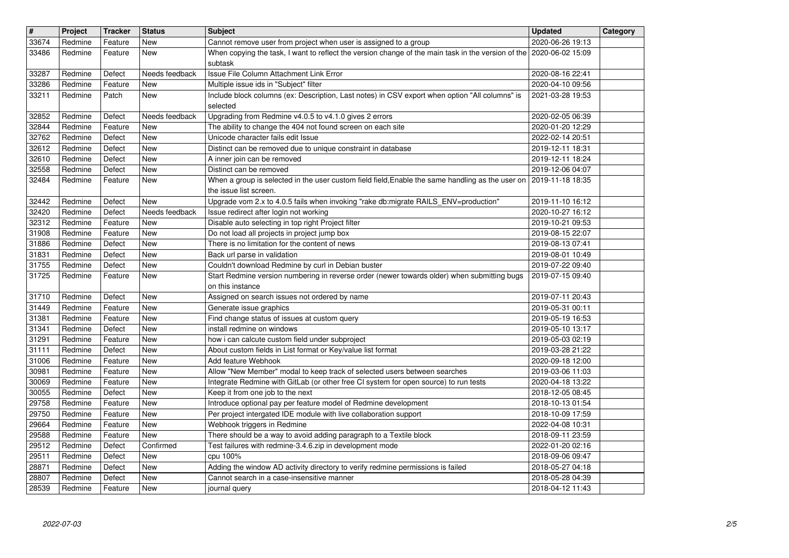| $\overline{\mathbf{H}}$ | Project            | <b>Tracker</b>     | <b>Status</b>         | <b>Subject</b>                                                                                                                                                                          | <b>Updated</b>                       | Category |
|-------------------------|--------------------|--------------------|-----------------------|-----------------------------------------------------------------------------------------------------------------------------------------------------------------------------------------|--------------------------------------|----------|
| 33674<br>33486          | Redmine<br>Redmine | Feature<br>Feature | New<br>New            | Cannot remove user from project when user is assigned to a group<br>When copying the task, I want to reflect the version change of the main task in the version of the 2020-06-02 15:09 | 2020-06-26 19:13                     |          |
|                         |                    |                    |                       | subtask<br>Issue File Column Attachment Link Error                                                                                                                                      |                                      |          |
| 33287<br>33286          | Redmine<br>Redmine | Defect<br>Feature  | Needs feedback<br>New | Multiple issue ids in "Subject" filter                                                                                                                                                  | 2020-08-16 22:41<br>2020-04-10 09:56 |          |
| 33211                   | Redmine            | Patch              | New                   | Include block columns (ex: Description, Last notes) in CSV export when option "All columns" is<br>selected                                                                              | 2021-03-28 19:53                     |          |
| 32852                   | Redmine            | Defect             | Needs feedback        | Upgrading from Redmine v4.0.5 to v4.1.0 gives 2 errors                                                                                                                                  | 2020-02-05 06:39                     |          |
| 32844                   | Redmine            | Feature            | New                   | The ability to change the 404 not found screen on each site<br>Unicode character fails edit Issue                                                                                       | 2020-01-20 12:29                     |          |
| 32762<br>32612          | Redmine<br>Redmine | Defect<br>Defect   | New<br>New            | Distinct can be removed due to unique constraint in database                                                                                                                            | 2022-02-14 20:51<br>2019-12-11 18:31 |          |
| 32610                   | Redmine            | Defect             | New                   | A inner join can be removed<br>Distinct can be removed                                                                                                                                  | 2019-12-11 18:24                     |          |
| 32558<br>32484          | Redmine<br>Redmine | Defect<br>Feature  | New<br>New            | When a group is selected in the user custom field field, Enable the same handling as the user on                                                                                        | 2019-12-06 04:07<br>2019-11-18 18:35 |          |
| 32442                   | Redmine            | Defect             | New                   | the issue list screen.<br>Upgrade vom 2.x to 4.0.5 fails when invoking "rake db:migrate RAILS_ENV=production"                                                                           | 2019-11-10 16:12                     |          |
| 32420                   | Redmine            | Defect             | Needs feedback        | Issue redirect after login not working                                                                                                                                                  | 2020-10-27 16:12                     |          |
| 32312<br>31908          | Redmine<br>Redmine | Feature<br>Feature | New<br>New            | Disable auto selecting in top right Project filter<br>Do not load all projects in project jump box                                                                                      | 2019-10-21 09:53<br>2019-08-15 22:07 |          |
| 31886                   | Redmine            | Defect             | New                   | There is no limitation for the content of news                                                                                                                                          | 2019-08-13 07:41                     |          |
| 31831<br>31755          | Redmine<br>Redmine | Defect<br>Defect   | New<br>New            | Back url parse in validation<br>Couldn't download Redmine by curl in Debian buster                                                                                                      | 2019-08-01 10:49<br>2019-07-22 09:40 |          |
| 31725                   | Redmine            | Feature            | New                   | Start Redmine version numbering in reverse order (newer towards older) when submitting bugs                                                                                             | 2019-07-15 09:40                     |          |
| 31710                   | Redmine            | Defect             | New                   | on this instance<br>Assigned on search issues not ordered by name                                                                                                                       | 2019-07-11 20:43                     |          |
| 31449                   | Redmine            | Feature            | <b>New</b>            | Generate issue graphics                                                                                                                                                                 | 2019-05-31 00:11                     |          |
| 31381<br>31341          | Redmine<br>Redmine | Feature<br>Defect  | New<br>New            | Find change status of issues at custom query<br>install redmine on windows                                                                                                              | 2019-05-19 16:53<br>2019-05-10 13:17 |          |
| 31291                   | Redmine            | Feature            | New                   | how i can calcute custom field under subproject                                                                                                                                         | 2019-05-03 02:19                     |          |
| 31111<br>31006          | Redmine<br>Redmine | Defect<br>Feature  | New<br>New            | About custom fields in List format or Key/value list format<br>Add feature Webhook                                                                                                      | 2019-03-28 21:22<br>2020-09-18 12:00 |          |
| 30981                   | Redmine            | Feature            | New                   | Allow "New Member" modal to keep track of selected users between searches                                                                                                               | 2019-03-06 11:03                     |          |
| 30069                   | Redmine            | Feature            | <b>New</b>            | Integrate Redmine with GitLab (or other free CI system for open source) to run tests                                                                                                    | 2020-04-18 13:22                     |          |
| 30055<br>29758          | Redmine<br>Redmine | Defect<br>Feature  | New<br><b>New</b>     | Keep it from one job to the next<br>Introduce optional pay per feature model of Redmine development                                                                                     | 2018-12-05 08:45<br>2018-10-13 01:54 |          |
| 29750                   | Redmine            | Feature            | New                   | Per project intergated IDE module with live collaboration support<br>Webhook triggers in Redmine                                                                                        | 2018-10-09 17:59                     |          |
| 29664<br>29588          | Redmine<br>Redmine | Feature<br>Feature | New<br><b>New</b>     | There should be a way to avoid adding paragraph to a Textile block                                                                                                                      | 2022-04-08 10:31<br>2018-09-11 23:59 |          |
| 29512                   | Redmine            | Defect             | Confirmed             | Test failures with redmine-3.4.6.zip in development mode                                                                                                                                | 2022-01-20 02:16                     |          |
| 29511<br>28871          | Redmine<br>Redmine | Defect<br>Defect   | New<br>New            | cpu 100%<br>Adding the window AD activity directory to verify redmine permissions is failed                                                                                             | 2018-09-06 09:47<br>2018-05-27 04:18 |          |
| 28807<br>28539          | Redmine<br>Redmine | Defect<br>Feature  | New<br>New            | Cannot search in a case-insensitive manner<br>journal query                                                                                                                             | 2018-05-28 04:39<br>2018-04-12 11:43 |          |
|                         |                    |                    |                       |                                                                                                                                                                                         |                                      |          |
|                         |                    |                    |                       |                                                                                                                                                                                         |                                      |          |
|                         |                    |                    |                       |                                                                                                                                                                                         |                                      |          |
|                         |                    |                    |                       |                                                                                                                                                                                         |                                      |          |
|                         |                    |                    |                       |                                                                                                                                                                                         |                                      |          |
|                         |                    |                    |                       |                                                                                                                                                                                         |                                      |          |
|                         |                    |                    |                       |                                                                                                                                                                                         |                                      |          |
|                         |                    |                    |                       |                                                                                                                                                                                         |                                      |          |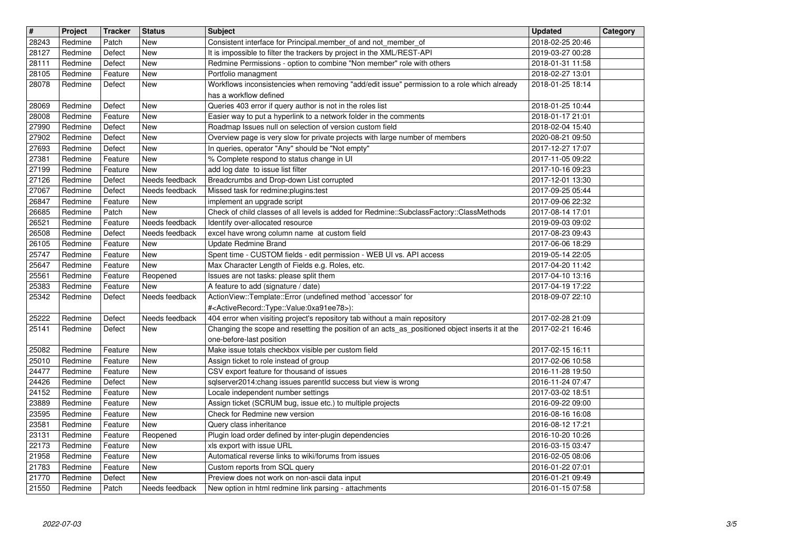| 28243<br>28127<br>28111<br>28105 |                    | <b>Tracker</b>     | <b>Status</b>            | <b>Subject</b>                                                                                                                                  | <b>Updated</b>                       | Category |
|----------------------------------|--------------------|--------------------|--------------------------|-------------------------------------------------------------------------------------------------------------------------------------------------|--------------------------------------|----------|
|                                  | Redmine            | Patch              | New                      | Consistent interface for Principal.member_of and not_member_of                                                                                  | 2018-02-25 20:46                     |          |
|                                  | Redmine            | Defect             | <b>New</b>               | It is impossible to filter the trackers by project in the XML/REST-API                                                                          | 2019-03-27 00:28                     |          |
|                                  | Redmine<br>Redmine | Defect<br>Feature  | <b>New</b><br><b>New</b> | Redmine Permissions - option to combine "Non member" role with others<br>Portfolio managment                                                    | 2018-01-31 11:58<br>2018-02-27 13:01 |          |
| 28078                            | Redmine            | Defect             | New                      | Workflows inconsistencies when removing "add/edit issue" permission to a role which already                                                     | 2018-01-25 18:14                     |          |
|                                  |                    |                    |                          | has a workflow defined                                                                                                                          |                                      |          |
| 28069<br>28008                   | Redmine<br>Redmine | Defect<br>Feature  | <b>New</b><br><b>New</b> | Queries 403 error if query author is not in the roles list<br>Easier way to put a hyperlink to a network folder in the comments                 | 2018-01-25 10:44<br>2018-01-17 21:01 |          |
| 27990                            | Redmine            | Defect             | New                      | Roadmap Issues null on selection of version custom field                                                                                        | 2018-02-04 15:40                     |          |
| 27902                            | Redmine            | Defect             | <b>New</b>               | Overview page is very slow for private projects with large number of members                                                                    | 2020-08-21 09:50                     |          |
| 27693                            | Redmine            | Defect             | <b>New</b>               | In queries, operator "Any" should be "Not empty"                                                                                                | 2017-12-27 17:07                     |          |
| 27381<br>27199                   | Redmine<br>Redmine | Feature<br>Feature | <b>New</b><br>New        | % Complete respond to status change in UI<br>add log date to issue list filter                                                                  | 2017-11-05 09:22<br>2017-10-16 09:23 |          |
| 27126                            | Redmine            | Defect             | Needs feedback           | Breadcrumbs and Drop-down List corrupted                                                                                                        | 2017-12-01 13:30                     |          |
| 27067                            | Redmine            | Defect             | Needs feedback           | Missed task for redmine:plugins:test                                                                                                            | 2017-09-25 05:44                     |          |
| 26847<br>26685                   | Redmine<br>Redmine | Feature<br>Patch   | New<br>New               | implement an upgrade script<br>Check of child classes of all levels is added for Redmine::SubclassFactory::ClassMethods                         | 2017-09-06 22:32<br>2017-08-14 17:01 |          |
| 26521                            | Redmine            | Feature            | Needs feedback           | Identify over-allocated resource                                                                                                                | 2019-09-03 09:02                     |          |
| 26508                            | Redmine            | Defect             | Needs feedback           | excel have wrong column name at custom field                                                                                                    | 2017-08-23 09:43                     |          |
| 26105                            | Redmine            | Feature            | New                      | Update Redmine Brand                                                                                                                            | 2017-06-06 18:29                     |          |
| 25747<br>25647                   | Redmine<br>Redmine | Feature<br>Feature | New<br>New               | Spent time - CUSTOM fields - edit permission - WEB UI vs. API access<br>Max Character Length of Fields e.g. Roles, etc.                         | 2019-05-14 22:05<br>2017-04-20 11:42 |          |
| 25561                            | Redmine            | Feature            | Reopened                 | Issues are not tasks: please split them                                                                                                         | 2017-04-10 13:16                     |          |
| 25383                            | Redmine            | Feature            | New                      | A feature to add (signature / date)                                                                                                             | 2017-04-19 17:22                     |          |
| 25342                            | Redmine            | Defect             | Needs feedback           | ActionView::Template::Error (undefined method `accessor' for<br># <activerecord::type::value:0xa91ee78>):</activerecord::type::value:0xa91ee78> | 2018-09-07 22:10                     |          |
| 25222                            | Redmine            | Defect             | Needs feedback           | 404 error when visiting project's repository tab without a main repository                                                                      | 2017-02-28 21:09                     |          |
| 25141                            | Redmine            | Defect             | New                      | Changing the scope and resetting the position of an acts_as_positioned object inserts it at the                                                 | 2017-02-21 16:46                     |          |
|                                  |                    |                    |                          | one-before-last position                                                                                                                        |                                      |          |
| 25082<br>25010                   | Redmine<br>Redmine | Feature<br>Feature | <b>New</b><br><b>New</b> | Make issue totals checkbox visible per custom field<br>Assign ticket to role instead of group                                                   | 2017-02-15 16:11<br>2017-02-06 10:58 |          |
| 24477                            | Redmine            | Feature            | New                      | CSV export feature for thousand of issues                                                                                                       | 2016-11-28 19:50                     |          |
| 24426                            | Redmine            | Defect             | <b>New</b>               | sqlserver2014:chang issues parentld success but view is wrong                                                                                   | 2016-11-24 07:47                     |          |
| 24152<br>23889                   | Redmine<br>Redmine | Feature<br>Feature | <b>New</b><br><b>New</b> | Locale independent number settings<br>Assign ticket (SCRUM bug, issue etc.) to multiple projects                                                | 2017-03-02 18:51<br>2016-09-22 09:00 |          |
| 23595                            | Redmine            | Feature            | New                      | Check for Redmine new version                                                                                                                   | 2016-08-16 16:08                     |          |
| 23581                            | Redmine            | Feature            | New                      | Query class inheritance                                                                                                                         | 2016-08-12 17:21                     |          |
| 23131                            | Redmine            | Feature            | Reopened                 | Plugin load order defined by inter-plugin dependencies                                                                                          | 2016-10-20 10:26                     |          |
| 22173<br>21958                   | Redmine<br>Redmine | Feature<br>Feature | New<br>New               | xls export with issue URL<br>Automatical reverse links to wiki/forums from issues                                                               | 2016-03-15 03:47<br>2016-02-05 08:06 |          |
| $\sqrt{21783}$                   | Redmine            | Feature            | New                      | Custom reports from SQL query                                                                                                                   | 2016-01-22 07:01                     |          |
| 21770<br>21550                   | Redmine<br>Redmine | Defect<br>Patch    | New<br>Needs feedback    | Preview does not work on non-ascii data input<br>New option in html redmine link parsing - attachments                                          | 2016-01-21 09:49<br>2016-01-15 07:58 |          |
|                                  |                    |                    |                          |                                                                                                                                                 |                                      |          |
|                                  |                    |                    |                          |                                                                                                                                                 |                                      |          |
|                                  |                    |                    |                          |                                                                                                                                                 |                                      |          |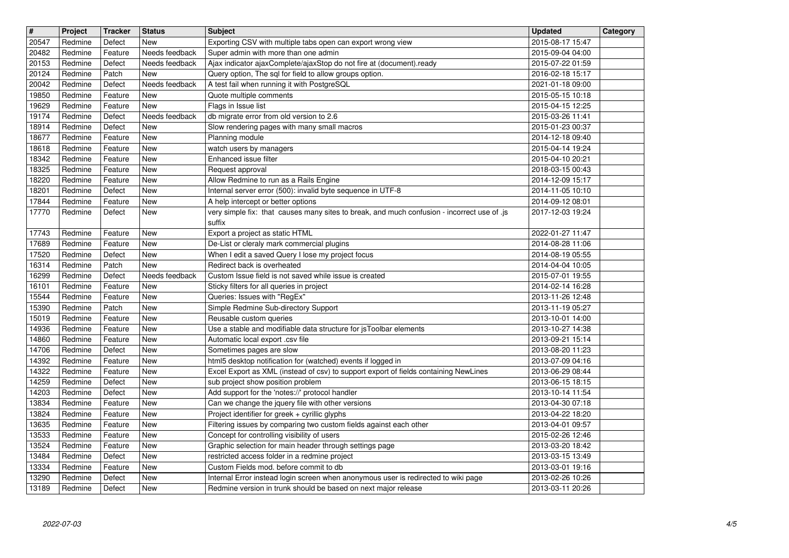| $\overline{\mathbf{H}}$<br>20547 | Project<br>Redmine | <b>Tracker</b><br>Defect | <b>Status</b><br>New  | <b>Subject</b><br>Exporting CSV with multiple tabs open can export wrong view                                                   | <b>Updated</b><br>2015-08-17 15:47   | Category |
|----------------------------------|--------------------|--------------------------|-----------------------|---------------------------------------------------------------------------------------------------------------------------------|--------------------------------------|----------|
| 20482                            | Redmine            | Feature                  | Needs feedback        | Super admin with more than one admin                                                                                            | 2015-09-04 04:00                     |          |
| 20153<br>20124                   | Redmine<br>Redmine | Defect<br>Patch          | Needs feedback<br>New | Ajax indicator ajaxComplete/ajaxStop do not fire at (document).ready<br>Query option, The sql for field to allow groups option. | 2015-07-22 01:59<br>2016-02-18 15:17 |          |
| 20042                            | Redmine            | Defect                   | Needs feedback        | A test fail when running it with PostgreSQL                                                                                     | 2021-01-18 09:00                     |          |
| 19850<br>19629                   | Redmine<br>Redmine | Feature<br>Feature       | New<br>New            | Quote multiple comments<br>Flags in Issue list                                                                                  | 2015-05-15 10:18<br>2015-04-15 12:25 |          |
| 19174                            | Redmine            | Defect                   | Needs feedback        | db migrate error from old version to 2.6                                                                                        | 2015-03-26 11:41                     |          |
| 18914<br>18677                   | Redmine<br>Redmine | Defect<br>Feature        | New<br>New            | Slow rendering pages with many small macros<br>Planning module                                                                  | 2015-01-23 00:37<br>2014-12-18 09:40 |          |
| 18618                            | Redmine            | Feature                  | New                   | watch users by managers                                                                                                         | 2015-04-14 19:24                     |          |
| 18342<br>18325                   | Redmine<br>Redmine | Feature<br>Feature       | New<br>New            | Enhanced issue filter<br>Request approval                                                                                       | 2015-04-10 20:21<br>2018-03-15 00:43 |          |
| 18220                            | Redmine            | Feature                  | New                   | Allow Redmine to run as a Rails Engine                                                                                          | 2014-12-09 15:17                     |          |
| 18201<br>17844                   | Redmine<br>Redmine | Defect<br>Feature        | New<br>New            | Internal server error (500): invalid byte sequence in UTF-8<br>A help intercept or better options                               | 2014-11-05 10:10<br>2014-09-12 08:01 |          |
| 17770                            | Redmine            | Defect                   | New                   | very simple fix: that causes many sites to break, and much confusion - incorrect use of .js<br>suffix                           | 2017-12-03 19:24                     |          |
| 17743<br>17689                   | Redmine<br>Redmine | Feature<br>Feature       | New<br>New            | Export a project as static HTML<br>De-List or cleraly mark commercial plugins                                                   | 2022-01-27 11:47<br>2014-08-28 11:06 |          |
| 17520                            | Redmine            | Defect                   | New                   | When I edit a saved Query I lose my project focus                                                                               | 2014-08-19 05:55                     |          |
| 16314<br>16299                   | Redmine<br>Redmine | Patch<br>Defect          | New<br>Needs feedback | Redirect back is overheated<br>Custom Issue field is not saved while issue is created                                           | 2014-04-04 10:05<br>2015-07-01 19:55 |          |
| 16101                            | Redmine            | Feature                  | New                   | Sticky filters for all queries in project                                                                                       | 2014-02-14 16:28                     |          |
| 15544<br>15390                   | Redmine<br>Redmine | Feature<br>Patch         | New<br>New            | Queries: Issues with "RegEx"<br>Simple Redmine Sub-directory Support                                                            | 2013-11-26 12:48<br>2013-11-19 05:27 |          |
| 15019                            | Redmine            | Feature                  | New                   | Reusable custom queries                                                                                                         | 2013-10-01 14:00                     |          |
| 14936<br>14860                   | Redmine            | Feature<br>Feature       | New<br>New            | Use a stable and modifiable data structure for jsToolbar elements<br>Automatic local export .csv file                           | 2013-10-27 14:38                     |          |
| 14706                            | Redmine<br>Redmine | Defect                   | New                   | Sometimes pages are slow                                                                                                        | 2013-09-21 15:14<br>2013-08-20 11:23 |          |
| 14392                            | Redmine            | Feature                  | New                   | html5 desktop notification for (watched) events if logged in                                                                    | 2013-07-09 04:16                     |          |
| 14322<br>14259                   | Redmine<br>Redmine | Feature<br>Defect        | New<br>New            | Excel Export as XML (instead of csv) to support export of fields containing NewLines<br>sub project show position problem       | 2013-06-29 08:44<br>2013-06-15 18:15 |          |
| 14203                            | Redmine            | Defect                   | New                   | Add support for the 'notes://' protocol handler                                                                                 | 2013-10-14 11:54                     |          |
| 13834<br>13824                   | Redmine<br>Redmine | Feature<br>Feature       | <b>New</b><br>New     | Can we change the jquery file with other versions<br>Project identifier for greek + cyrillic glyphs                             | 2013-04-30 07:18<br>2013-04-22 18:20 |          |
| 13635                            | Redmine            | Feature                  | New                   | Filtering issues by comparing two custom fields against each other                                                              | 2013-04-01 09:57                     |          |
| 13533<br>13524                   | Redmine<br>Redmine | Feature<br>Feature       | <b>New</b><br>New     | Concept for controlling visibility of users<br>Graphic selection for main header through settings page                          | 2015-02-26 12:46<br>2013-03-20 18:42 |          |
| 13484                            | Redmine            | Defect                   | New                   | restricted access folder in a redmine project                                                                                   | 2013-03-15 13:49                     |          |
| 13334<br>13290                   | Redmine<br>Redmine | Feature<br>Defect        | New<br><b>New</b>     | Custom Fields mod. before commit to db<br>Internal Error instead login screen when anonymous user is redirected to wiki page    | 2013-03-01 19:16<br>2013-02-26 10:26 |          |
| 13189                            | Redmine            | Defect                   | New                   | Redmine version in trunk should be based on next major release                                                                  | 2013-03-11 20:26                     |          |
|                                  |                    |                          |                       |                                                                                                                                 |                                      |          |
|                                  |                    |                          |                       |                                                                                                                                 |                                      |          |
|                                  |                    |                          |                       |                                                                                                                                 |                                      |          |
|                                  |                    |                          |                       |                                                                                                                                 |                                      |          |
|                                  |                    |                          |                       |                                                                                                                                 |                                      |          |
|                                  |                    |                          |                       |                                                                                                                                 |                                      |          |
|                                  |                    |                          |                       |                                                                                                                                 |                                      |          |
|                                  |                    |                          |                       |                                                                                                                                 |                                      |          |
|                                  |                    |                          |                       |                                                                                                                                 |                                      |          |
|                                  |                    |                          |                       |                                                                                                                                 |                                      |          |
|                                  |                    |                          |                       |                                                                                                                                 |                                      |          |
|                                  |                    |                          |                       |                                                                                                                                 |                                      |          |